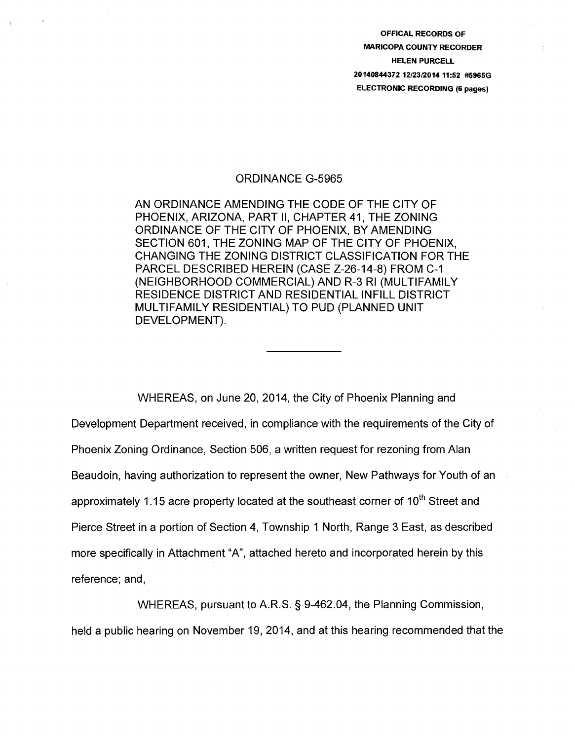OFFICAL RECORDS OF MARICOPA COUNTY RECORDER HELEN PURCELL 20140844372 12/23/2014 11:52 #5965G ELECTRONIC RECORDING (6 pages)

## ORDINANCE G-5965

AN ORDINANCE AMENDING THE CODE OF THE CITY OF PHOENIX, ARIZONA, PART II, CHAPTER 41, THE ZONING ORDINANCE OF THE CITY OF PHOENIX, BY AMENDING SECTION 601, THE ZONING MAP OF THE CITY OF PHOENIX, CHANGING THE ZONING DISTRICT CLASSIFICATION FOR THE PARCEL DESCRIBED HEREIN (CASE Z-26-14-8) FROM C-1 (NEIGHBORHOOD COMMERCIAL) AND R-3 Rl (MULTIFAMILY RESIDENCE DISTRICT AND RESIDENTIAL INFILL DISTRICT MULTIFAMILY RESIDENTIAL) TO PUD (PLANNED UNIT DEVELOPMENT).

WHEREAS, on June 20, 2014, the City of Phoenix Planning and Development Department received, in compliance with the requirements of the City of Phoenix Zoning Ordinance, Section 506, a written request for rezoning from Alan Beaudoin, having authorization to represent the owner, New Pathways for Youth of an approximately 1.15 acre property located at the southeast corner of  $10<sup>th</sup>$  Street and Pierce Street in a portion of Section 4, Township 1 North, Range 3 East, as described more specifically in Attachment "A", attached hereto and incorporated herein by this reference; and,

WHEREAS, pursuant to A.R.S. § 9-462.04, the Planning Commission, held a public hearing on November 19, 2014, and at this hearing recommended that the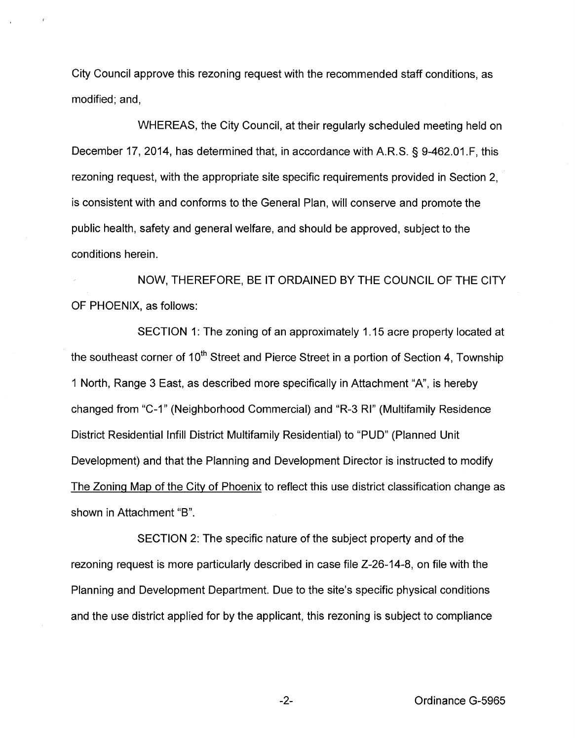City Council approve this rezoning request with the recommended staff conditions, as modified; and,

WHEREAS, the City Council, at their regularly scheduled meeting held on December 17, 2014, has determined that, in accordance with A.R.S. § 9-462.01.F, this rezoning request, with the appropriate site specific requirements provided in Section 2, is consistent with and conforms to the General Plan, will conserve and promote the public health, safety and general welfare, and should be approved, subject to the conditions herein.

NOW, THEREFORE, BE IT ORDAINED BY THE COUNCIL OF THE CITY OF PHOENIX, as follows:

SECTION 1: The zoning of an approximately 1.15 acre property located at the southeast corner of 10<sup>th</sup> Street and Pierce Street in a portion of Section 4, Township 1 North, Range 3 East, as described more specifically in Attachment "A", is hereby changed from "C-1" (Neighborhood Commercial) and "R-3 Rl" (Multifamily Residence District Residential Infill District Multifamily Residential) to "PUD" (Planned Unit Development) and that the Planning and Development Director is instructed to modify The Zoning Map of the City of Phoenix to reflect this use district classification change as shown in Attachment "B".

SECTION 2: The specific nature of the subject property and of the rezoning request is more particularly described in case file Z-26-14-8, on file with the Planning and Development Department. Due to the site's specific physical conditions and the use district applied for by the applicant, this rezoning is subject to compliance

-2- Ordinance G-5965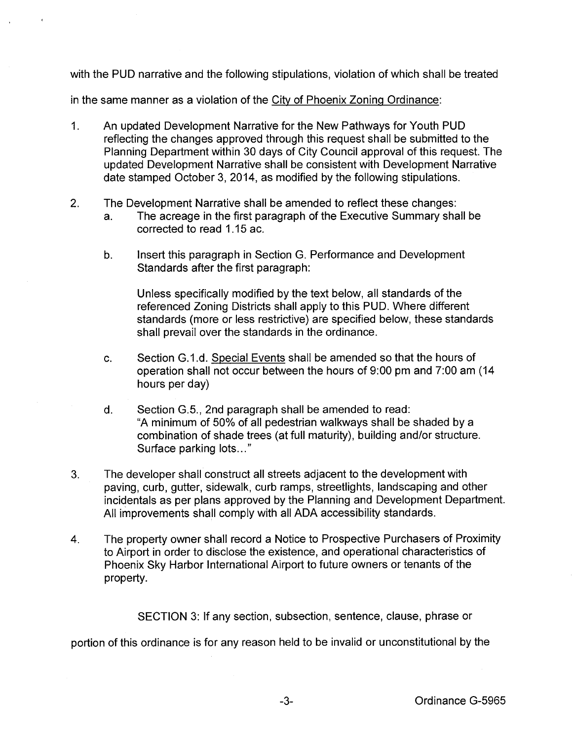with the PUD narrative and the following stipulations, violation of which shall be treated

in the same manner as a violation of the City of Phoenix Zoning Ordinance:

- 1. An updated Development Narrative for the New Pathways for Youth PUD reflecting the changes approved through this request shall be submitted to the Planning Department within 30 days of City Council approval of this request. The updated Development Narrative shall be consistent with Development Narrative date stamped October 3, 2014, as modified by the following stipulations.
- 2. The Development Narrative shall be amended to reflect these changes:
	- a. The acreage in the first paragraph of the Executive Summary shall be corrected to read 1.15 ac.
	- b. Insert this paragraph in Section G. Performance and Development Standards after the first paragraph:

Unless specifically modified by the text below, all standards of the referenced Zoning Districts shall apply to this PUD. Where different standards (more or less restrictive) are specified below, these standards shall prevail over the standards in the ordinance.

- c. Section G.1.d. Special Events shall be amended so that the hours of operation shall not occur between the hours of 9:00 pm and 7:00 am (14) hours per day)
- d. Section G.5., 2nd paragraph shall be amended to read: "A minimum of 50% of all pedestrian walkways shall be shaded by a combination of shade trees (at full maturity), building and/or structure. Surface parking lots..."
- 3. The developer shall construct all streets adjacent to the development with paving, curb, gutter, sidewalk, curb ramps, streetlights, landscaping and other incidentals as per plans approved by the Planning and Development Department. All improvements shall comply with all ADA accessibility standards.
- 4. The property owner shall record a Notice to Prospective Purchasers of Proximity to Airport in order to disclose the existence, and operational characteristics of Phoenix Sky Harbor International Airport to future owners or tenants of the property.

SECTION 3: If any section, subsection, sentence, clause, phrase or

portion of this ordinance is for any reason held to be invalid or unconstitutional by the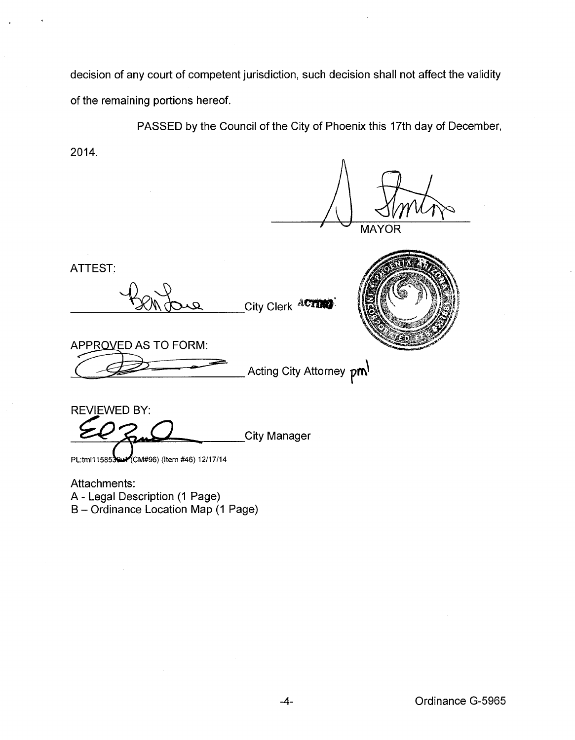decision of any court of competent jurisdiction, such decision shall not affect the validity of the remaining portions hereof.

PASSED by the Council of the City of Phoenix this 17th day of December,

2014.

**MAYOR** 

ATTEST:

City Clerk ACTING

APPROVED AS TO FORM:

Acting City Attorney  $pm$ 

REVIEWED BY: City Manager PL:tml115853 CM#96) (Item #46) 12/17/14

Attachments:

A- Legal Description (1 Page)

B- Ordinance Location Map (1 Page)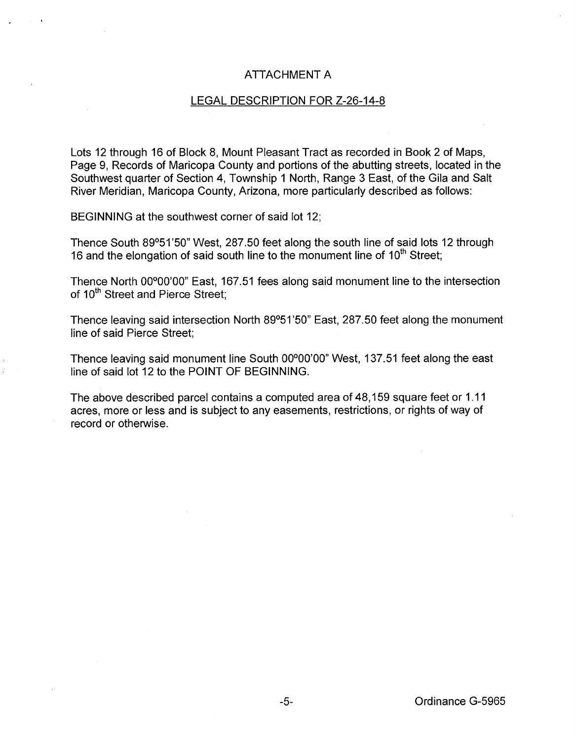## ATTACHMENT A

## LEGAL DESCRIPTION FOR Z-26-14-8

Lots 12 through 16 of Block 8, Mount Pleasant Tract as recorded in Book 2 of Maps, Page 9, Records of Maricopa County and portions of the abutting streets, located in the Southwest quarter of Section 4, Township 1 North, Range 3 East, of the Gila and Salt River Meridian, Maricopa County, Arizona, more particularly described as follows:

BEGINNING at the southwest corner of said lot 12;

Thence South 89°51'50" West, 287.50 feet along the south line of said lots 12 through 16 and the elongation of said south line to the monument line of 10<sup>th</sup> Street;

Thence North 00°00'00" East, 167.51 fees along said monument line to the intersection of 10<sup>th</sup> Street and Pierce Street:

Thence leaving said intersection North 89°51 '50" East, 287.50 feet along the monument line of said Pierce Street;

Thence leaving said monument line South 00°00'00" West, 137.51 feet along the east line of said lot 12 to the POINT OF BEGINNING.

The above described parcel contains a computed area of 48,159 square feet or 1.11 acres, more or less and is subject to any easements, restrictions, or rights of way of record or otherwise.